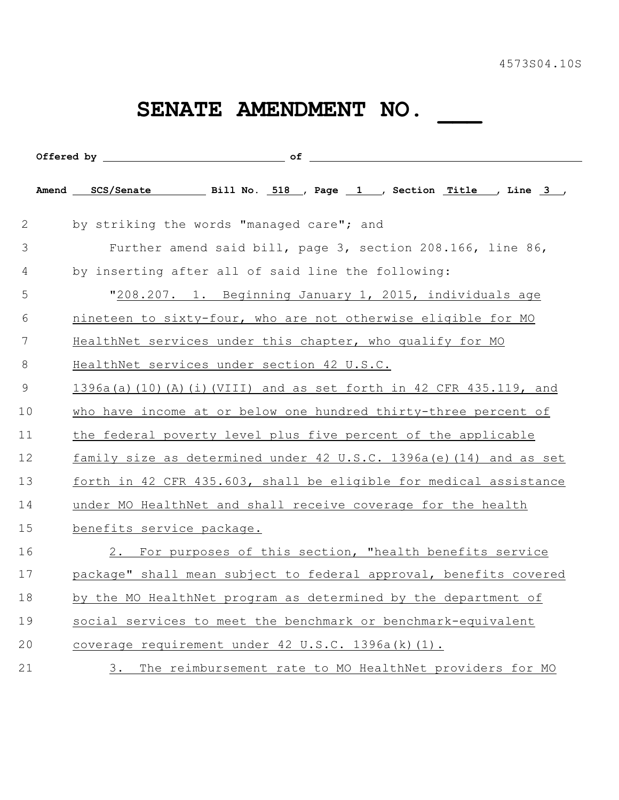## **SENATE AMENDMENT NO. \_\_\_**

| 2  | by striking the words "managed care"; and                                  |
|----|----------------------------------------------------------------------------|
| 3  | Further amend said bill, page 3, section 208.166, line 86,                 |
| 4  | by inserting after all of said line the following:                         |
| 5  | "208.207. 1. Beginning January 1, 2015, individuals age                    |
| 6  | nineteen to sixty-four, who are not otherwise eligible for MO              |
| 7  | HealthNet services under this chapter, who qualify for MO                  |
| 8  | HealthNet services under section 42 U.S.C.                                 |
| 9  | 1396a(a)(10)(A)(i)(VIII) and as set forth in 42 CFR 435.119, and           |
| 10 | who have income at or below one hundred thirty-three percent of            |
| 11 | the federal poverty level plus five percent of the applicable              |
| 12 | <u>family size as determined under 42 U.S.C. 1396a (e) (14) and as set</u> |
| 13 | forth in 42 CFR 435.603, shall be eligible for medical assistance          |
| 14 | under MO HealthNet and shall receive coverage for the health               |
| 15 | benefits service package.                                                  |
| 16 | 2. For purposes of this section, "health benefits service                  |
| 17 | package" shall mean subject to federal approval, benefits covered          |
| 18 | by the MO HealthNet program as determined by the department of             |
| 19 | social services to meet the benchmark or benchmark-equivalent              |
| 20 | coverage requirement under 42 U.S.C. 1396a(k)(1).                          |
| 21 | The reimbursement rate to MO HealthNet providers for MO<br>3.              |